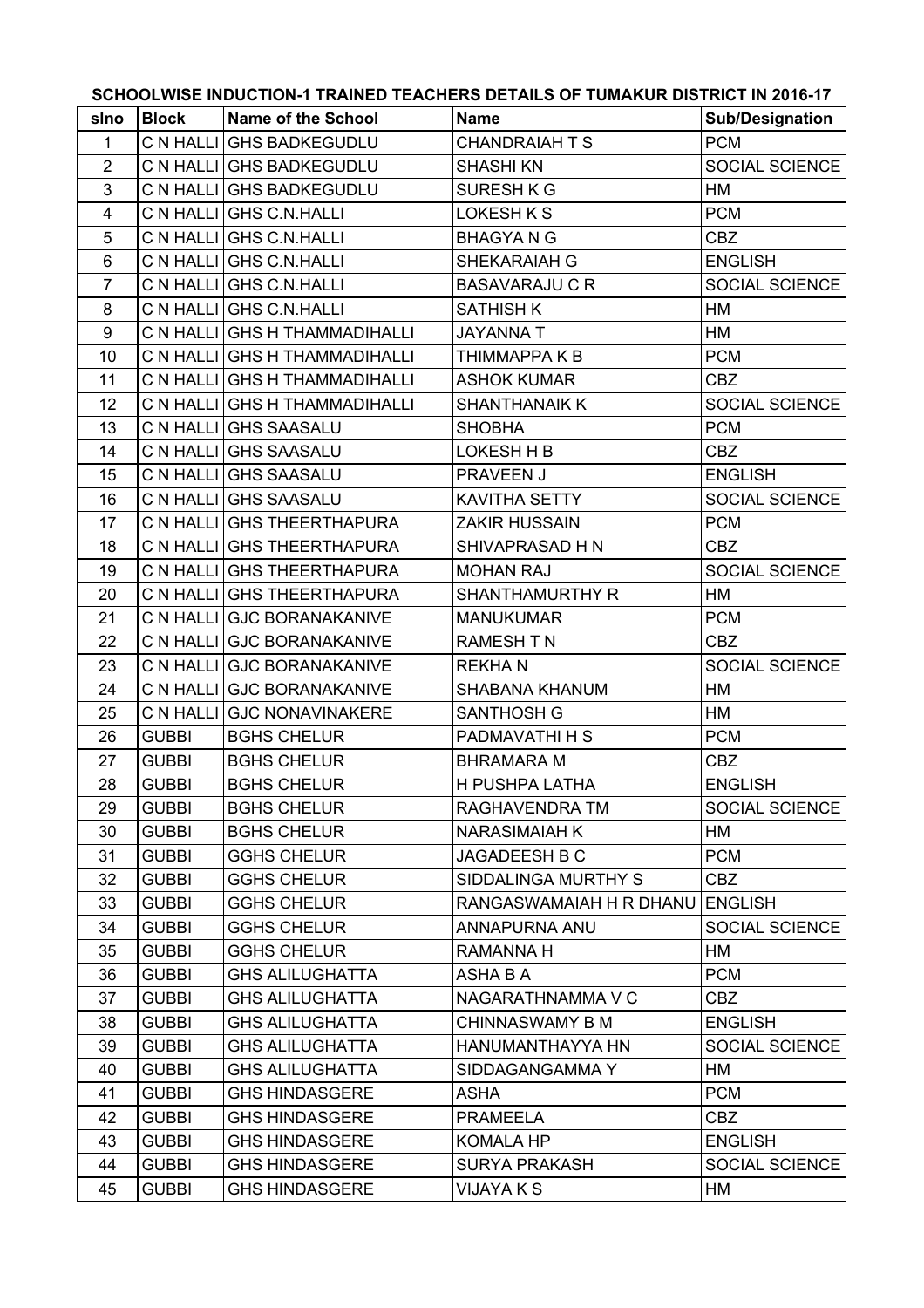| SCHOOLWISE INDUCTION-1 TRAINED TEACHERS DETAILS OF TUMAKUR DISTRICT IN 2016-17 |              |                               |                         |                        |  |
|--------------------------------------------------------------------------------|--------------|-------------------------------|-------------------------|------------------------|--|
| sino                                                                           | <b>Block</b> | <b>Name of the School</b>     | <b>Name</b>             | <b>Sub/Designation</b> |  |
| $\mathbf{1}$                                                                   |              | C N HALLI GHS BADKEGUDLU      | <b>CHANDRAIAH T S</b>   | <b>PCM</b>             |  |
| $\overline{2}$                                                                 |              | C N HALLI GHS BADKEGUDLU      | <b>SHASHI KN</b>        | SOCIAL SCIENCE         |  |
| 3                                                                              |              | C N HALLI GHS BADKEGUDLU      | <b>SURESH K G</b>       | НM                     |  |
| 4                                                                              |              | C N HALLI GHS C.N.HALLI       | LOKESH K S              | <b>PCM</b>             |  |
| 5                                                                              |              | C N HALLI GHS C.N. HALLI      | <b>BHAGYANG</b>         | CBZ                    |  |
| 6                                                                              |              | C N HALLI GHS C.N.HALLI       | SHEKARAIAH G            | <b>ENGLISH</b>         |  |
| $\overline{7}$                                                                 |              | C N HALLI GHS C.N. HALLI      | <b>BASAVARAJU C R</b>   | SOCIAL SCIENCE         |  |
| 8                                                                              |              | C N HALLI GHS C.N.HALLI       | <b>SATHISH K</b>        | НM                     |  |
| 9                                                                              |              | C N HALLI GHS H THAMMADIHALLI | <b>JAYANNA T</b>        | НM                     |  |
| 10                                                                             |              | C N HALLI GHS H THAMMADIHALLI | THIMMAPPA K B           | <b>PCM</b>             |  |
| 11                                                                             |              | C N HALLI GHS H THAMMADIHALLI | <b>ASHOK KUMAR</b>      | <b>CBZ</b>             |  |
| 12                                                                             |              | C N HALLI GHS H THAMMADIHALLI | <b>SHANTHANAIK K</b>    | SOCIAL SCIENCE         |  |
| 13                                                                             |              | C N HALLI GHS SAASALU         | <b>SHOBHA</b>           | <b>PCM</b>             |  |
| 14                                                                             |              | C N HALLI GHS SAASALU         | LOKESH H B              | <b>CBZ</b>             |  |
| 15                                                                             |              | C N HALLI GHS SAASALU         | PRAVEEN J               | <b>ENGLISH</b>         |  |
| 16                                                                             |              | C N HALLI GHS SAASALU         | <b>KAVITHA SETTY</b>    | SOCIAL SCIENCE         |  |
| 17                                                                             |              | C N HALLI GHS THEERTHAPURA    | <b>ZAKIR HUSSAIN</b>    | <b>PCM</b>             |  |
| 18                                                                             |              | C N HALLI GHS THEERTHAPURA    | SHIVAPRASAD H N         | CBZ                    |  |
| 19                                                                             |              | C N HALLI GHS THEERTHAPURA    | <b>MOHAN RAJ</b>        | SOCIAL SCIENCE         |  |
| 20                                                                             |              | C N HALLI GHS THEERTHAPURA    | <b>SHANTHAMURTHY R</b>  | НM                     |  |
| 21                                                                             |              | C N HALLI GJC BORANAKANIVE    | <b>MANUKUMAR</b>        | <b>PCM</b>             |  |
| 22                                                                             |              | C N HALLI GJC BORANAKANIVE    | <b>RAMESH T N</b>       | <b>CBZ</b>             |  |
| 23                                                                             |              | C N HALLI GJC BORANAKANIVE    | <b>REKHAN</b>           | SOCIAL SCIENCE         |  |
| 24                                                                             |              | C N HALLI GJC BORANAKANIVE    | SHABANA KHANUM          | НM                     |  |
| 25                                                                             |              | C N HALLI GJC NONAVINAKERE    | <b>SANTHOSH G</b>       | НM                     |  |
| 26                                                                             | <b>GUBBI</b> | <b>BGHS CHELUR</b>            | PADMAVATHI H S          | <b>PCM</b>             |  |
| 27                                                                             | <b>GUBBI</b> | <b>BGHS CHELUR</b>            | <b>BHRAMARA M</b>       | <b>CBZ</b>             |  |
| 28                                                                             | <b>GUBBI</b> | <b>BGHS CHELUR</b>            | H PUSHPA LATHA          | <b>ENGLISH</b>         |  |
| 29                                                                             | <b>GUBBI</b> | <b>BGHS CHELUR</b>            | RAGHAVENDRA TM          | SOCIAL SCIENCE         |  |
| 30                                                                             | <b>GUBBI</b> | <b>BGHS CHELUR</b>            | <b>NARASIMAIAH K</b>    | HM                     |  |
| 31                                                                             | <b>GUBBI</b> | <b>GGHS CHELUR</b>            | <b>JAGADEESH B C</b>    | <b>PCM</b>             |  |
| 32                                                                             | <b>GUBBI</b> | <b>GGHS CHELUR</b>            | SIDDALINGA MURTHY S     | CBZ                    |  |
| 33                                                                             | <b>GUBBI</b> | <b>GGHS CHELUR</b>            | RANGASWAMAIAH H R DHANU | <b>ENGLISH</b>         |  |
| 34                                                                             | <b>GUBBI</b> | <b>GGHS CHELUR</b>            | ANNAPURNA ANU           | SOCIAL SCIENCE         |  |
| 35                                                                             | <b>GUBBI</b> | <b>GGHS CHELUR</b>            | <b>RAMANNA H</b>        | НM                     |  |
| 36                                                                             | <b>GUBBI</b> | <b>GHS ALILUGHATTA</b>        | ASHA B A                | <b>PCM</b>             |  |
| 37                                                                             | <b>GUBBI</b> | <b>GHS ALILUGHATTA</b>        | NAGARATHNAMMA V C       | <b>CBZ</b>             |  |
| 38                                                                             | <b>GUBBI</b> | <b>GHS ALILUGHATTA</b>        | <b>CHINNASWAMY B M</b>  | <b>ENGLISH</b>         |  |
| 39                                                                             | <b>GUBBI</b> | <b>GHS ALILUGHATTA</b>        | HANUMANTHAYYA HN        | SOCIAL SCIENCE         |  |
| 40                                                                             | <b>GUBBI</b> | <b>GHS ALILUGHATTA</b>        | SIDDAGANGAMMA Y         | НM                     |  |
| 41                                                                             | <b>GUBBI</b> | <b>GHS HINDASGERE</b>         | ASHA                    | <b>PCM</b>             |  |
| 42                                                                             | <b>GUBBI</b> | <b>GHS HINDASGERE</b>         | <b>PRAMEELA</b>         | CBZ                    |  |
| 43                                                                             | <b>GUBBI</b> | <b>GHS HINDASGERE</b>         | <b>KOMALA HP</b>        | <b>ENGLISH</b>         |  |
| 44                                                                             | <b>GUBBI</b> | <b>GHS HINDASGERE</b>         | <b>SURYA PRAKASH</b>    | SOCIAL SCIENCE         |  |
| 45                                                                             | <b>GUBBI</b> | <b>GHS HINDASGERE</b>         | <b>VIJAYA K S</b>       | НM                     |  |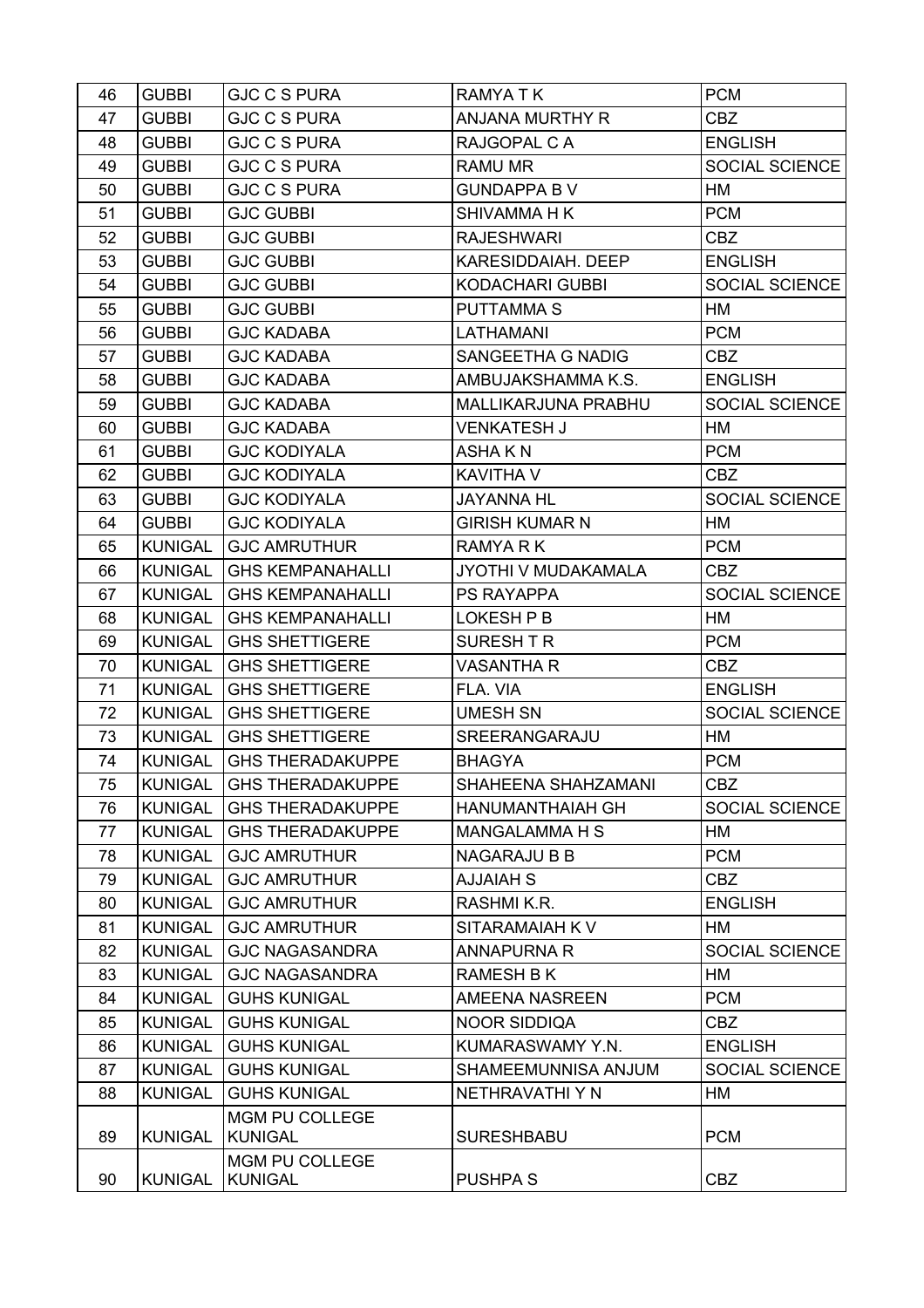| 46 | <b>GUBBI</b>   | <b>GJC C S PURA</b>              | <b>RAMYATK</b>          | <b>PCM</b>            |
|----|----------------|----------------------------------|-------------------------|-----------------------|
| 47 | <b>GUBBI</b>   | <b>GJC C S PURA</b>              | <b>ANJANA MURTHY R</b>  | <b>CBZ</b>            |
| 48 | <b>GUBBI</b>   | <b>GJC C S PURA</b>              | RAJGOPAL C A            | <b>ENGLISH</b>        |
| 49 | <b>GUBBI</b>   | <b>GJC C S PURA</b>              | RAMU MR                 | <b>SOCIAL SCIENCE</b> |
| 50 | <b>GUBBI</b>   | <b>GJC C S PURA</b>              | <b>GUNDAPPA BV</b>      | HM                    |
| 51 | <b>GUBBI</b>   | <b>GJC GUBBI</b>                 | <b>SHIVAMMA H K</b>     | <b>PCM</b>            |
| 52 | <b>GUBBI</b>   | <b>GJC GUBBI</b>                 | <b>RAJESHWARI</b>       | <b>CBZ</b>            |
| 53 | <b>GUBBI</b>   | <b>GJC GUBBI</b>                 | KARESIDDAIAH. DEEP      | <b>ENGLISH</b>        |
| 54 | <b>GUBBI</b>   | <b>GJC GUBBI</b>                 | <b>KODACHARI GUBBI</b>  | SOCIAL SCIENCE        |
| 55 | <b>GUBBI</b>   | <b>GJC GUBBI</b>                 | <b>PUTTAMMAS</b>        | HM                    |
| 56 | <b>GUBBI</b>   | <b>GJC KADABA</b>                | LATHAMANI               | <b>PCM</b>            |
| 57 | <b>GUBBI</b>   | <b>GJC KADABA</b>                | SANGEETHA G NADIG       | CBZ                   |
| 58 | <b>GUBBI</b>   | <b>GJC KADABA</b>                | AMBUJAKSHAMMA K.S.      | <b>ENGLISH</b>        |
| 59 | <b>GUBBI</b>   | <b>GJC KADABA</b>                | MALLIKARJUNA PRABHU     | <b>SOCIAL SCIENCE</b> |
| 60 | <b>GUBBI</b>   | <b>GJC KADABA</b>                | <b>VENKATESH J</b>      | HM                    |
| 61 | <b>GUBBI</b>   | <b>GJC KODIYALA</b>              | <b>ASHAKN</b>           | <b>PCM</b>            |
| 62 | <b>GUBBI</b>   | <b>GJC KODIYALA</b>              | KAVITHA V               | CBZ                   |
| 63 | <b>GUBBI</b>   | <b>GJC KODIYALA</b>              | <b>JAYANNA HL</b>       | SOCIAL SCIENCE        |
| 64 | <b>GUBBI</b>   | <b>GJC KODIYALA</b>              | <b>GIRISH KUMAR N</b>   | HM                    |
| 65 | <b>KUNIGAL</b> | <b>GJC AMRUTHUR</b>              | RAMYA R K               | <b>PCM</b>            |
| 66 | <b>KUNIGAL</b> | <b>GHS KEMPANAHALLI</b>          | JYOTHI V MUDAKAMALA     | CBZ                   |
| 67 | <b>KUNIGAL</b> | <b>GHS KEMPANAHALLI</b>          | <b>PS RAYAPPA</b>       | <b>SOCIAL SCIENCE</b> |
| 68 | <b>KUNIGAL</b> | <b>GHS KEMPANAHALLI</b>          | LOKESH P B              | HM                    |
| 69 | <b>KUNIGAL</b> | <b>GHS SHETTIGERE</b>            | SURESH T R              | <b>PCM</b>            |
| 70 | <b>KUNIGAL</b> | <b>GHS SHETTIGERE</b>            | <b>VASANTHA R</b>       | <b>CBZ</b>            |
| 71 | KUNIGAL        | <b>GHS SHETTIGERE</b>            | FLA. VIA                | <b>ENGLISH</b>        |
| 72 | <b>KUNIGAL</b> | <b>GHS SHETTIGERE</b>            | <b>UMESH SN</b>         | <b>SOCIAL SCIENCE</b> |
| 73 | <b>KUNIGAL</b> | <b>GHS SHETTIGERE</b>            | SREERANGARAJU           | HM                    |
| 74 | <b>KUNIGAL</b> | <b>GHS THERADAKUPPE</b>          | <b>BHAGYA</b>           | <b>PCM</b>            |
| 75 | KUNIGAL        | <b>GHS THERADAKUPPE</b>          | SHAHEENA SHAHZAMANI     | CBZ                   |
| 76 | <b>KUNIGAL</b> | <b>GHS THERADAKUPPE</b>          | <b>HANUMANTHAIAH GH</b> | <b>SOCIAL SCIENCE</b> |
| 77 | <b>KUNIGAL</b> | <b>GHS THERADAKUPPE</b>          | <b>MANGALAMMA H S</b>   | HM                    |
| 78 | <b>KUNIGAL</b> | <b>GJC AMRUTHUR</b>              | <b>NAGARAJU B B</b>     | <b>PCM</b>            |
| 79 | <b>KUNIGAL</b> | <b>GJC AMRUTHUR</b>              | <b>AJJAIAH S</b>        | <b>CBZ</b>            |
| 80 | <b>KUNIGAL</b> | <b>GJC AMRUTHUR</b>              | RASHMI K.R.             | <b>ENGLISH</b>        |
| 81 | <b>KUNIGAL</b> | <b>GJC AMRUTHUR</b>              | SITARAMAIAH K V         | HM                    |
| 82 | <b>KUNIGAL</b> | <b>GJC NAGASANDRA</b>            | <b>ANNAPURNA R</b>      | SOCIAL SCIENCE        |
| 83 | <b>KUNIGAL</b> | <b>GJC NAGASANDRA</b>            | <b>RAMESH B K</b>       | HM                    |
| 84 | <b>KUNIGAL</b> | <b>GUHS KUNIGAL</b>              | <b>AMEENA NASREEN</b>   | <b>PCM</b>            |
| 85 | <b>KUNIGAL</b> | <b>GUHS KUNIGAL</b>              | <b>NOOR SIDDIQA</b>     | CBZ                   |
| 86 | <b>KUNIGAL</b> | <b>GUHS KUNIGAL</b>              | KUMARASWAMY Y.N.        | <b>ENGLISH</b>        |
| 87 | <b>KUNIGAL</b> | <b>GUHS KUNIGAL</b>              | SHAMEEMUNNISA ANJUM     | SOCIAL SCIENCE        |
| 88 | <b>KUNIGAL</b> | <b>GUHS KUNIGAL</b>              | NETHRAVATHI Y N         | НM                    |
| 89 | <b>KUNIGAL</b> | MGM PU COLLEGE<br><b>KUNIGAL</b> | <b>SURESHBABU</b>       | <b>PCM</b>            |
| 90 | <b>KUNIGAL</b> | MGM PU COLLEGE<br><b>KUNIGAL</b> | <b>PUSHPA S</b>         | <b>CBZ</b>            |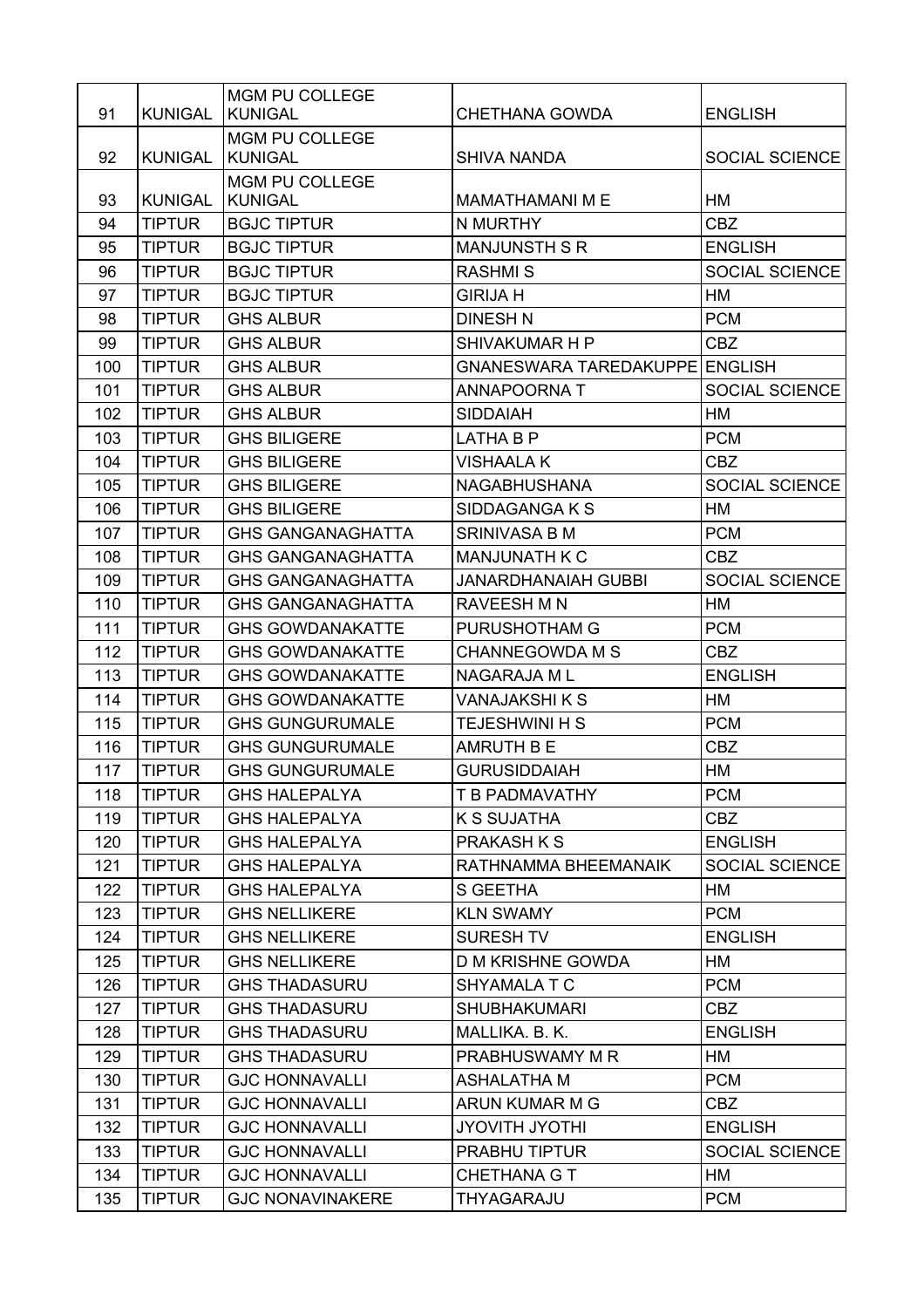|     |                | MGM PU COLLEGE                          |                               |                       |
|-----|----------------|-----------------------------------------|-------------------------------|-----------------------|
| 91  | <b>KUNIGAL</b> | <b>KUNIGAL</b>                          | CHETHANA GOWDA                | <b>ENGLISH</b>        |
| 92  | <b>KUNIGAL</b> | <b>MGM PU COLLEGE</b><br><b>KUNIGAL</b> | <b>SHIVA NANDA</b>            | SOCIAL SCIENCE        |
| 93  | <b>KUNIGAL</b> | MGM PU COLLEGE<br><b>KUNIGAL</b>        | <b>MAMATHAMANI M E</b>        | HM                    |
| 94  | <b>TIPTUR</b>  | <b>BGJC TIPTUR</b>                      | N MURTHY                      | <b>CBZ</b>            |
| 95  | <b>TIPTUR</b>  | <b>BGJC TIPTUR</b>                      | <b>MANJUNSTH S R</b>          | <b>ENGLISH</b>        |
| 96  | <b>TIPTUR</b>  | <b>BGJC TIPTUR</b>                      | <b>RASHMIS</b>                | SOCIAL SCIENCE        |
| 97  | <b>TIPTUR</b>  | <b>BGJC TIPTUR</b>                      | <b>GIRIJA H</b>               | HM                    |
| 98  | <b>TIPTUR</b>  | <b>GHS ALBUR</b>                        | <b>DINESH N</b>               | <b>PCM</b>            |
| 99  | <b>TIPTUR</b>  | <b>GHS ALBUR</b>                        | SHIVAKUMAR H P                | <b>CBZ</b>            |
| 100 | <b>TIPTUR</b>  | <b>GHS ALBUR</b>                        | <b>GNANESWARA TAREDAKUPPE</b> | <b>ENGLISH</b>        |
| 101 | <b>TIPTUR</b>  | <b>GHS ALBUR</b>                        | ANNAPOORNA T                  | <b>SOCIAL SCIENCE</b> |
| 102 | <b>TIPTUR</b>  | <b>GHS ALBUR</b>                        | <b>SIDDAIAH</b>               | HM                    |
| 103 | <b>TIPTUR</b>  | <b>GHS BILIGERE</b>                     | LATHA B P                     | <b>PCM</b>            |
| 104 | <b>TIPTUR</b>  | <b>GHS BILIGERE</b>                     | <b>VISHAALAK</b>              | <b>CBZ</b>            |
| 105 | <b>TIPTUR</b>  | <b>GHS BILIGERE</b>                     | <b>NAGABHUSHANA</b>           | SOCIAL SCIENCE        |
| 106 | <b>TIPTUR</b>  | <b>GHS BILIGERE</b>                     | SIDDAGANGA K S                | HM                    |
| 107 | <b>TIPTUR</b>  | <b>GHS GANGANAGHATTA</b>                | <b>SRINIVASA B M</b>          | <b>PCM</b>            |
| 108 | <b>TIPTUR</b>  | <b>GHS GANGANAGHATTA</b>                | <b>MANJUNATH K C</b>          | <b>CBZ</b>            |
| 109 | <b>TIPTUR</b>  | <b>GHS GANGANAGHATTA</b>                | <b>JANARDHANAIAH GUBBI</b>    | SOCIAL SCIENCE        |
| 110 | <b>TIPTUR</b>  | <b>GHS GANGANAGHATTA</b>                | <b>RAVEESH M N</b>            | HM                    |
| 111 | <b>TIPTUR</b>  | <b>GHS GOWDANAKATTE</b>                 | PURUSHOTHAM G                 | <b>PCM</b>            |
| 112 | <b>TIPTUR</b>  | <b>GHS GOWDANAKATTE</b>                 | <b>CHANNEGOWDA M S</b>        | <b>CBZ</b>            |
| 113 | <b>TIPTUR</b>  | <b>GHS GOWDANAKATTE</b>                 | NAGARAJA ML                   | <b>ENGLISH</b>        |
| 114 | <b>TIPTUR</b>  | <b>GHS GOWDANAKATTE</b>                 | VANAJAKSHI K S                | HM                    |
| 115 | <b>TIPTUR</b>  | <b>GHS GUNGURUMALE</b>                  | <b>TEJESHWINI H S</b>         | <b>PCM</b>            |
| 116 | <b>TIPTUR</b>  | <b>GHS GUNGURUMALE</b>                  | AMRUTH B E                    | <b>CBZ</b>            |
| 117 | <b>TIPTUR</b>  | <b>GHS GUNGURUMALE</b>                  | <b>GURUSIDDAIAH</b>           | HM                    |
| 118 | <b>TIPTUR</b>  | <b>GHS HALEPALYA</b>                    | T B PADMAVATHY                | <b>PCM</b>            |
| 119 | <b>TIPTUR</b>  | <b>GHS HALEPALYA</b>                    | <b>K S SUJATHA</b>            | CBZ                   |
| 120 | <b>TIPTUR</b>  | <b>GHS HALEPALYA</b>                    | PRAKASH K S                   | <b>ENGLISH</b>        |
| 121 | <b>TIPTUR</b>  | <b>GHS HALEPALYA</b>                    | RATHNAMMA BHEEMANAIK          | SOCIAL SCIENCE        |
| 122 | <b>TIPTUR</b>  | <b>GHS HALEPALYA</b>                    | S GEETHA                      | HM                    |
| 123 | <b>TIPTUR</b>  | <b>GHS NELLIKERE</b>                    | <b>KLN SWAMY</b>              | <b>PCM</b>            |
| 124 | <b>TIPTUR</b>  | <b>GHS NELLIKERE</b>                    | <b>SURESH TV</b>              | <b>ENGLISH</b>        |
| 125 | <b>TIPTUR</b>  | <b>GHS NELLIKERE</b>                    | D M KRISHNE GOWDA             | HM                    |
| 126 | <b>TIPTUR</b>  | <b>GHS THADASURU</b>                    | SHYAMALA T C                  | <b>PCM</b>            |
| 127 | <b>TIPTUR</b>  | <b>GHS THADASURU</b>                    | <b>SHUBHAKUMARI</b>           | CBZ                   |
| 128 | <b>TIPTUR</b>  | <b>GHS THADASURU</b>                    | MALLIKA. B. K.                | <b>ENGLISH</b>        |
| 129 | <b>TIPTUR</b>  | <b>GHS THADASURU</b>                    | PRABHUSWAMY M R               | HM                    |
| 130 | <b>TIPTUR</b>  | <b>GJC HONNAVALLI</b>                   | <b>ASHALATHA M</b>            | <b>PCM</b>            |
| 131 | <b>TIPTUR</b>  | <b>GJC HONNAVALLI</b>                   | ARUN KUMAR M G                | <b>CBZ</b>            |
| 132 | <b>TIPTUR</b>  | <b>GJC HONNAVALLI</b>                   | <b>IHTOYL HTIVOYL</b>         | <b>ENGLISH</b>        |
| 133 | <b>TIPTUR</b>  | <b>GJC HONNAVALLI</b>                   | PRABHU TIPTUR                 | SOCIAL SCIENCE        |
| 134 | <b>TIPTUR</b>  | <b>GJC HONNAVALLI</b>                   | CHETHANA G T                  | HM                    |
| 135 | <b>TIPTUR</b>  | <b>GJC NONAVINAKERE</b>                 | THYAGARAJU                    | <b>PCM</b>            |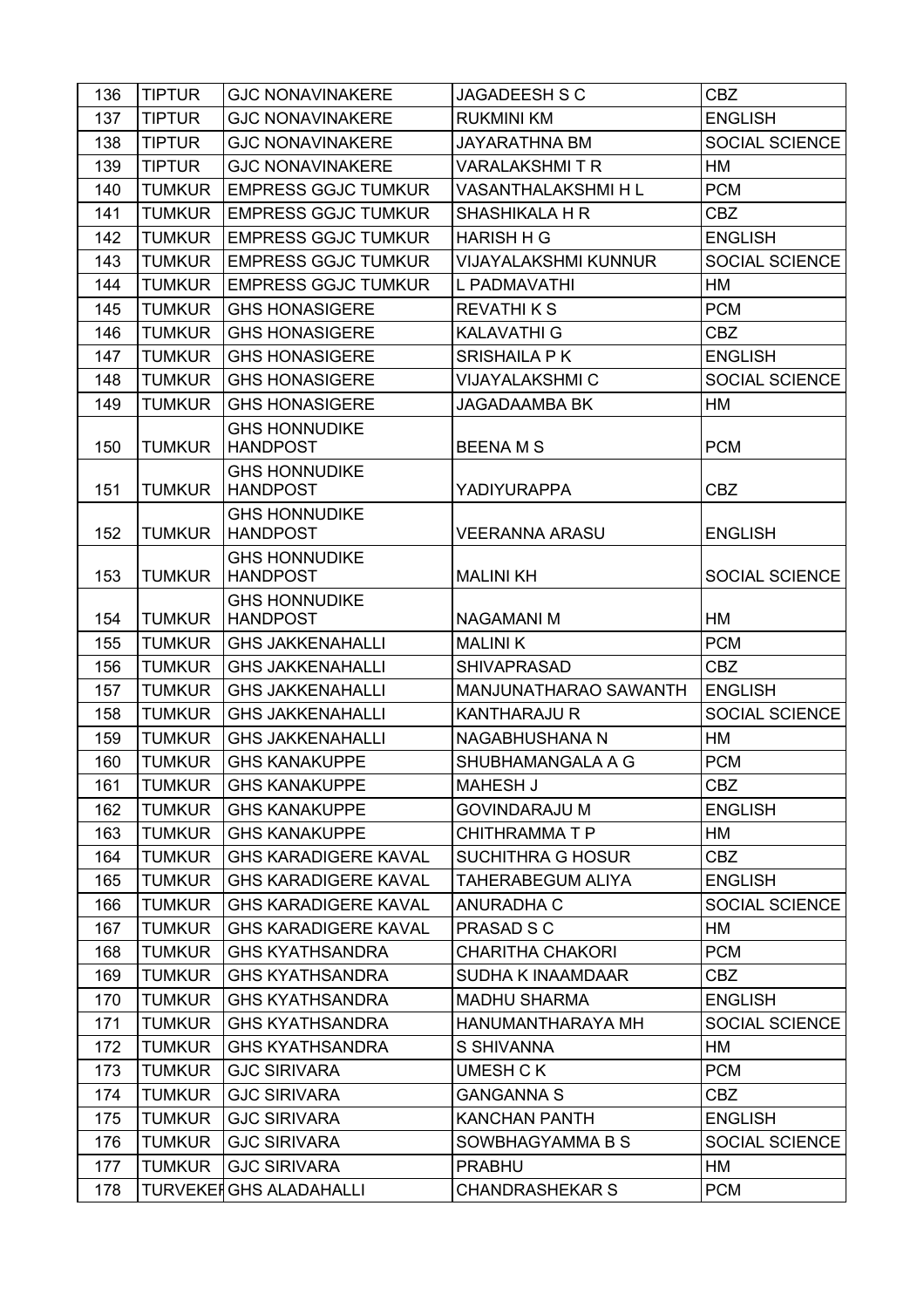| 136 | <b>TIPTUR</b> | <b>GJC NONAVINAKERE</b>                 | JAGADEESH S C               | <b>CBZ</b>            |
|-----|---------------|-----------------------------------------|-----------------------------|-----------------------|
| 137 | <b>TIPTUR</b> | <b>GJC NONAVINAKERE</b>                 | <b>RUKMINI KM</b>           | <b>ENGLISH</b>        |
| 138 | <b>TIPTUR</b> | <b>GJC NONAVINAKERE</b>                 | <b>JAYARATHNA BM</b>        | SOCIAL SCIENCE        |
| 139 | <b>TIPTUR</b> | <b>GJC NONAVINAKERE</b>                 | <b>VARALAKSHMITR</b>        | HM                    |
| 140 | <b>TUMKUR</b> | <b>EMPRESS GGJC TUMKUR</b>              | <b>VASANTHALAKSHMI H L</b>  | <b>PCM</b>            |
| 141 | <b>TUMKUR</b> | <b>EMPRESS GGJC TUMKUR</b>              | SHASHIKALA H R              | <b>CBZ</b>            |
| 142 | <b>TUMKUR</b> | <b>EMPRESS GGJC TUMKUR</b>              | <b>HARISH H G</b>           | <b>ENGLISH</b>        |
| 143 | <b>TUMKUR</b> | <b>EMPRESS GGJC TUMKUR</b>              | <b>VIJAYALAKSHMI KUNNUR</b> | SOCIAL SCIENCE        |
| 144 | <b>TUMKUR</b> | <b>EMPRESS GGJC TUMKUR</b>              | L PADMAVATHI                | HM                    |
| 145 | <b>TUMKUR</b> | <b>GHS HONASIGERE</b>                   | <b>REVATHI K S</b>          | <b>PCM</b>            |
| 146 | <b>TUMKUR</b> | <b>GHS HONASIGERE</b>                   | <b>KALAVATHI G</b>          | <b>CBZ</b>            |
| 147 | <b>TUMKUR</b> | <b>GHS HONASIGERE</b>                   | <b>SRISHAILA PK</b>         | <b>ENGLISH</b>        |
| 148 | <b>TUMKUR</b> | <b>GHS HONASIGERE</b>                   | <b>VIJAYALAKSHMI C</b>      | SOCIAL SCIENCE        |
| 149 | <b>TUMKUR</b> | <b>GHS HONASIGERE</b>                   | <b>JAGADAAMBA BK</b>        | НM                    |
| 150 | <b>TUMKUR</b> | <b>GHS HONNUDIKE</b><br><b>HANDPOST</b> | <b>BEENAMS</b>              | <b>PCM</b>            |
| 151 | <b>TUMKUR</b> | <b>GHS HONNUDIKE</b><br><b>HANDPOST</b> | <b>YADIYURAPPA</b>          | <b>CBZ</b>            |
| 152 | <b>TUMKUR</b> | <b>GHS HONNUDIKE</b><br><b>HANDPOST</b> | <b>VEERANNA ARASU</b>       | <b>ENGLISH</b>        |
| 153 | <b>TUMKUR</b> | <b>GHS HONNUDIKE</b><br><b>HANDPOST</b> | <b>MALINI KH</b>            | SOCIAL SCIENCE        |
| 154 | <b>TUMKUR</b> | <b>GHS HONNUDIKE</b><br><b>HANDPOST</b> | <b>NAGAMANI M</b>           | HM                    |
| 155 | <b>TUMKUR</b> | <b>GHS JAKKENAHALLI</b>                 | <b>MALINIK</b>              | <b>PCM</b>            |
| 156 | <b>TUMKUR</b> | <b>GHS JAKKENAHALLI</b>                 | <b>SHIVAPRASAD</b>          | <b>CBZ</b>            |
| 157 | <b>TUMKUR</b> | <b>GHS JAKKENAHALLI</b>                 | MANJUNATHARAO SAWANTH       | <b>ENGLISH</b>        |
| 158 | <b>TUMKUR</b> | <b>GHS JAKKENAHALLI</b>                 | <b>KANTHARAJU R</b>         | SOCIAL SCIENCE        |
| 159 | <b>TUMKUR</b> | <b>GHS JAKKENAHALLI</b>                 | NAGABHUSHANA N              | HM                    |
| 160 | <b>TUMKUR</b> | <b>GHS KANAKUPPE</b>                    | SHUBHAMANGALA A G           | <b>PCM</b>            |
| 161 | <b>TUMKUR</b> | <b>GHS KANAKUPPE</b>                    | <b>MAHESH J</b>             | <b>CBZ</b>            |
| 162 | <b>TUMKUR</b> | <b>GHS KANAKUPPE</b>                    | <b>GOVINDARAJU M</b>        | <b>ENGLISH</b>        |
| 163 | <b>TUMKUR</b> | <b>GHS KANAKUPPE</b>                    | <b>CHITHRAMMATP</b>         | HM                    |
| 164 | <b>TUMKUR</b> | <b>GHS KARADIGERE KAVAL</b>             | <b>SUCHITHRA G HOSUR</b>    | <b>CBZ</b>            |
| 165 | <b>TUMKUR</b> | <b>GHS KARADIGERE KAVAL</b>             | <b>TAHERABEGUM ALIYA</b>    | <b>ENGLISH</b>        |
| 166 | <b>TUMKUR</b> | <b>GHS KARADIGERE KAVAL</b>             | <b>ANURADHA C</b>           | <b>SOCIAL SCIENCE</b> |
| 167 | <b>TUMKUR</b> | <b>GHS KARADIGERE KAVAL</b>             | PRASAD S C                  | НM                    |
| 168 | <b>TUMKUR</b> | <b>GHS KYATHSANDRA</b>                  | <b>CHARITHA CHAKORI</b>     | <b>PCM</b>            |
| 169 | <b>TUMKUR</b> | <b>GHS KYATHSANDRA</b>                  | <b>SUDHA K INAAMDAAR</b>    | CBZ                   |
| 170 | <b>TUMKUR</b> | <b>GHS KYATHSANDRA</b>                  | <b>MADHU SHARMA</b>         | <b>ENGLISH</b>        |
| 171 | <b>TUMKUR</b> | <b>GHS KYATHSANDRA</b>                  | HANUMANTHARAYA MH           | <b>SOCIAL SCIENCE</b> |
| 172 | <b>TUMKUR</b> | <b>GHS KYATHSANDRA</b>                  | <b>S SHIVANNA</b>           | HM                    |
| 173 | <b>TUMKUR</b> | <b>GJC SIRIVARA</b>                     | UMESH C K                   | <b>PCM</b>            |
| 174 | <b>TUMKUR</b> | <b>GJC SIRIVARA</b>                     | <b>GANGANNA S</b>           | <b>CBZ</b>            |
| 175 | <b>TUMKUR</b> | <b>GJC SIRIVARA</b>                     | <b>KANCHAN PANTH</b>        | <b>ENGLISH</b>        |
| 176 | <b>TUMKUR</b> | <b>GJC SIRIVARA</b>                     | SOWBHAGYAMMA B S            | SOCIAL SCIENCE        |
| 177 | <b>TUMKUR</b> | <b>GJC SIRIVARA</b>                     | <b>PRABHU</b>               | HM                    |
| 178 |               | <b>TURVEKEI GHS ALADAHALLI</b>          | <b>CHANDRASHEKAR S</b>      | <b>PCM</b>            |